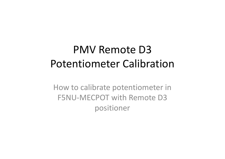# PMV Remote D3 Potentiometer Calibration

How to calibrate potentiometer in F5NU-MECPOT with Remote D3 positioner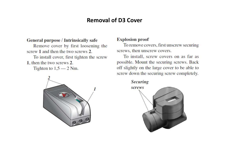### **Removal of D3 Cover**

#### General purpose / Intrinsically safe

Remove cover by first loosening the screw 1 and then the two screws 2.

To install cover, first tighten the screw 1, then the two screws 2.

Tighten to  $1,5 - 2$  Nm.



#### **Explosion proof**

To remove covers, first unscrew securing screws, then unscrew covers.

To install, screw covers on as far as possible. Mount the securing screws. Back off slightly on the large cover to be able to screw down the securing screw completely.

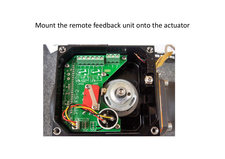## Mount the remote feedback unit onto the actuator

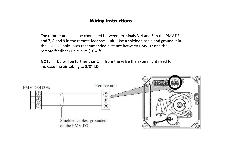#### **Wiring Instructions**

The remote unit shall be connected between terminals 3, 4 and 5 in the PMV D3 and 7, 8 and 9 in the remote feedback unit. Use a shielded cable and ground it in the PMV D3 only. Max recommended distance between PMV D3 and the remote feedback unit: 5 m (16.4 ft).

**NOTE:** If D3 will be further than 5 m from the valve then you might need to increase the air tubing to 3/8" I.D.

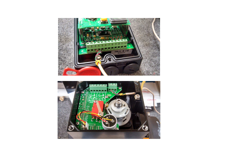

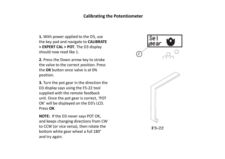#### **Calibrating the Potentiometer**

**1.** With power applied to the D3, use the key pad and navigate to **CALIBRATE > EXPERT CAL > POT**. The D3 display should now read like 1.

**2.** Press the Down arrow key to stroke the valve to the correct position. Press the **OK** button once valve is at 0% position.

**3.** Turn the pot gear in the direction the D3 display says using the F5-22 tool supplied with the remote feedback unit. Once the pot gear is correct, 'POT OK' will be displayed on the D3's LCD. Press **OK**.

**NOTE:** If the D3 never says POT OK, and keeps changing directions from CW to CCW (or vice versa), then rotate the bottom white gear wheel a full 180°and try again.